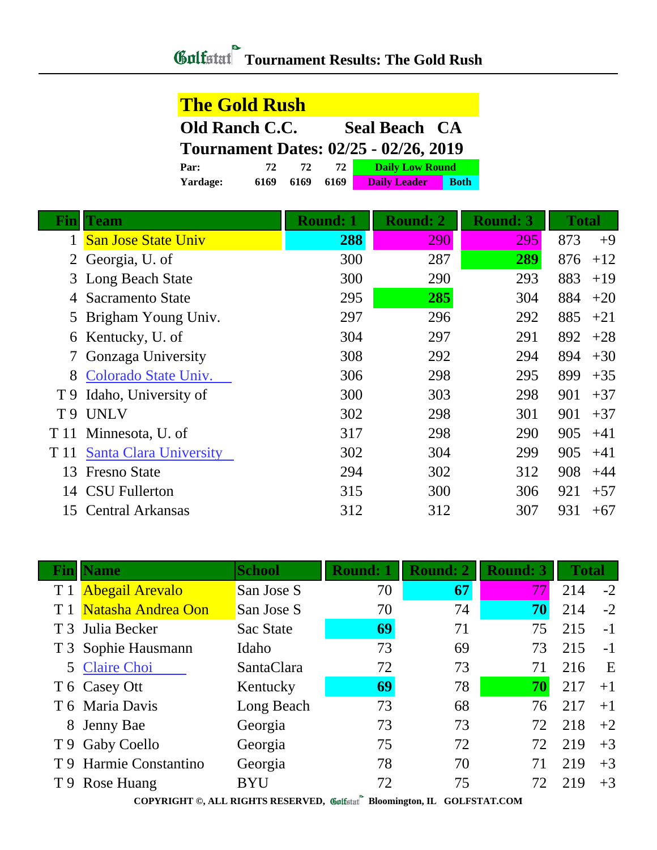## **Tournament Results: The Gold Rush**

| <b>The Gold Rush</b>                          |      |      |      |                        |             |  |  |
|-----------------------------------------------|------|------|------|------------------------|-------------|--|--|
| <b>Old Ranch C.C.</b><br><b>Seal Beach CA</b> |      |      |      |                        |             |  |  |
| <b>Tournament Dates: 02/25 - 02/26, 2019</b>  |      |      |      |                        |             |  |  |
| Par:                                          | 72   | 72   | 72   | <b>Daily Low Round</b> |             |  |  |
| Yardage:                                      | 6169 | 6169 | 6169 | <b>Daily Leader</b>    | <b>Both</b> |  |  |

| Fın  | Team                          | <b>Round: 1</b> | <b>Round: 2</b> | <b>Round: 3</b> | <b>Total</b> |
|------|-------------------------------|-----------------|-----------------|-----------------|--------------|
|      | <b>San Jose State Univ</b>    | 288             | 290             | 295             | 873<br>$+9$  |
| 2    | Georgia, U. of                | 300             | 287             | 289             | 876<br>$+12$ |
|      | 3 Long Beach State            | 300             | 290             | 293             | 883<br>$+19$ |
|      | Sacramento State              | 295             | 285             | 304             | 884<br>$+20$ |
|      | 5 Brigham Young Univ.         | 297             | 296             | 292             | 885<br>$+21$ |
| 6    | Kentucky, U. of               | 304             | 297             | 291             | 892<br>$+28$ |
|      | Gonzaga University            | 308             | 292             | 294             | 894<br>$+30$ |
| 8    | Colorado State Univ.          | 306             | 298             | 295             | 899<br>$+35$ |
| T 9  | Idaho, University of          | 300             | 303             | 298             | 901<br>$+37$ |
| T 9  | <b>UNLV</b>                   | 302             | 298             | 301             | 901<br>$+37$ |
|      | T 11 Minnesota, U. of         | 317             | 298             | 290             | 905<br>$+41$ |
| T 11 | <b>Santa Clara University</b> | 302             | 304             | 299             | 905<br>$+41$ |
| 13   | <b>Fresno State</b>           | 294             | 302             | 312             | 908<br>$+44$ |
|      | 14 CSU Fullerton              | 315             | 300             | 306             | 921<br>$+57$ |
| 15   | <b>Central Arkansas</b>       | 312             | 312             | 307             | 931<br>$+67$ |

| Finll | <b>Name</b>                                                                                                                                                                        | <b>School</b> | <b>Round: 1</b> | <b>Round: 2</b> | <b>Round: 3</b> | <b>Total</b> |      |  |
|-------|------------------------------------------------------------------------------------------------------------------------------------------------------------------------------------|---------------|-----------------|-----------------|-----------------|--------------|------|--|
| T1    | <b>Abegail Arevalo</b>                                                                                                                                                             | San Jose S    | 70              | 67              |                 | 214          | $-2$ |  |
|       | Natasha Andrea Oon                                                                                                                                                                 | San Jose S    | 70              | 74              | 70              | 214          | $-2$ |  |
|       | T 3 Julia Becker                                                                                                                                                                   | Sac State     | 69              | 71              | 75              | 215          | $-1$ |  |
|       | T 3 Sophie Hausmann                                                                                                                                                                | Idaho         | 73              | 69              | 73              | 215          | $-1$ |  |
|       | 5 Claire Choi                                                                                                                                                                      | SantaClara    | 72              | 73              | 71              | 216          | E    |  |
|       | T 6 Casey Ott                                                                                                                                                                      | Kentucky      | 69              | 78              | 70              | 217          | $+1$ |  |
|       | T 6 Maria Davis                                                                                                                                                                    | Long Beach    | 73              | 68              | 76              | 217          | $+1$ |  |
|       | 8 Jenny Bae                                                                                                                                                                        | Georgia       | 73              | 73              | 72              | 218          | $+2$ |  |
|       | T 9 Gaby Coello                                                                                                                                                                    | Georgia       | 75              | 72              | 72              | 219          | $+3$ |  |
|       | T 9 Harmie Constantino                                                                                                                                                             | Georgia       | 78              | 70              | 71              | 219          | $+3$ |  |
|       | T 9 Rose Huang                                                                                                                                                                     | <b>BYU</b>    | 72              | 75              | 72              | 219          | $+3$ |  |
|       | CONVINIOUT $\otimes$ 411 NIGHTS DESENVED $\otimes$ $\otimes$ $\otimes$ $\otimes$ $\otimes$ $\otimes$ $\otimes$ $\otimes$ $\otimes$ $\otimes$ $\otimes$ $\otimes$<br>COT ECHAP CO11 |               |                 |                 |                 |              |      |  |

**COPYRIGHT ©, ALL RIGHTS RESERVED, Bloomington, IL GOLFSTAT.COM**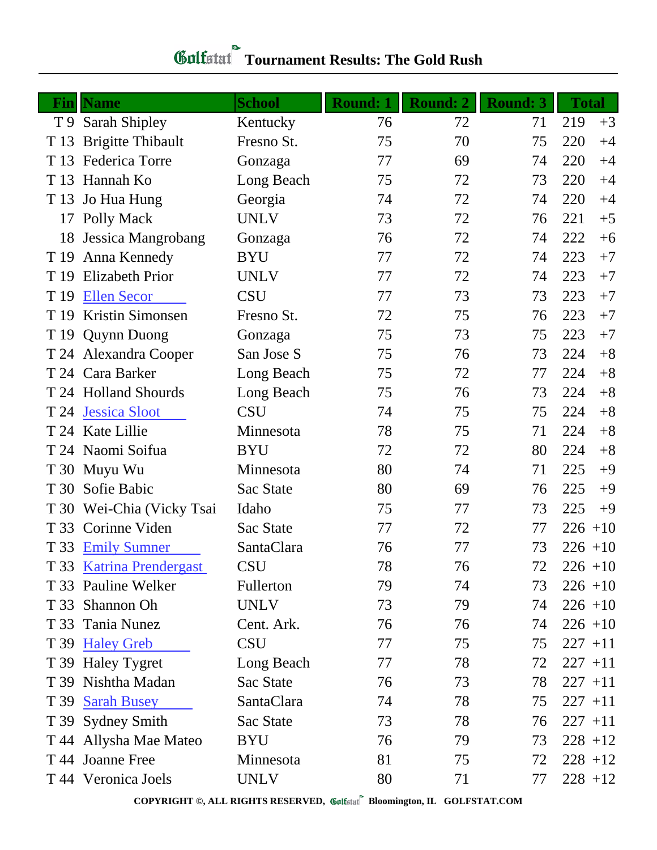| Fin  | <b>Name</b>               | <b>School</b> | <b>Round: 1</b> | Round: 2 | <b>Round: 3</b> | <b>Total</b> |
|------|---------------------------|---------------|-----------------|----------|-----------------|--------------|
|      | T 9 Sarah Shipley         | Kentucky      | 76              | 72       | 71              | 219<br>$+3$  |
| T 13 | <b>Brigitte Thibault</b>  | Fresno St.    | 75              | 70       | 75              | 220<br>$+4$  |
| T 13 | <b>Federica Torre</b>     | Gonzaga       | 77              | 69       | 74              | 220<br>$+4$  |
| T 13 | Hannah Ko                 | Long Beach    | 75              | 72       | 73              | 220<br>$+4$  |
| T 13 | Jo Hua Hung               | Georgia       | 74              | 72       | 74              | 220<br>$+4$  |
| 17   | Polly Mack                | <b>UNLV</b>   | 73              | 72       | 76              | 221<br>$+5$  |
| 18   | Jessica Mangrobang        | Gonzaga       | 76              | 72       | 74              | 222<br>$+6$  |
| T 19 | Anna Kennedy              | <b>BYU</b>    | 77              | 72       | 74              | 223<br>$+7$  |
| T 19 | <b>Elizabeth Prior</b>    | <b>UNLV</b>   | 77              | 72       | 74              | 223<br>$+7$  |
| T 19 | <b>Ellen Secor</b>        | <b>CSU</b>    | 77              | 73       | 73              | 223<br>$+7$  |
| T 19 | <b>Kristin Simonsen</b>   | Fresno St.    | 72              | 75       | 76              | 223<br>$+7$  |
|      | T 19 Quynn Duong          | Gonzaga       | 75              | 73       | 75              | 223<br>$+7$  |
|      | T 24 Alexandra Cooper     | San Jose S    | 75              | 76       | 73              | $+8$<br>224  |
|      | T 24 Cara Barker          | Long Beach    | 75              | 72       | 77              | 224<br>$+8$  |
|      | T 24 Holland Shourds      | Long Beach    | 75              | 76       | 73              | $+8$<br>224  |
| T 24 | <b>Jessica Sloot</b>      | <b>CSU</b>    | 74              | 75       | 75              | 224<br>$+8$  |
|      | T 24 Kate Lillie          | Minnesota     | 78              | 75       | 71              | $+8$<br>224  |
|      | T 24 Naomi Soifua         | <b>BYU</b>    | 72              | 72       | 80              | 224<br>$+8$  |
| T 30 | Muyu Wu                   | Minnesota     | 80              | 74       | 71              | 225<br>$+9$  |
| T 30 | Sofie Babic               | Sac State     | 80              | 69       | 76              | 225<br>$+9$  |
|      | T 30 Wei-Chia (Vicky Tsai | Idaho         | 75              | 77       | 73              | 225<br>$+9$  |
|      | T 33 Corinne Viden        | Sac State     | 77              | 72       | 77              | 226<br>$+10$ |
| T 33 | <b>Emily Sumner</b>       | SantaClara    | 76              | 77       | 73              | $226 + 10$   |
|      | T 33 Katrina Prendergast  | <b>CSU</b>    | 78              | 76       | 72              | $226 + 10$   |
|      | T 33 Pauline Welker       | Fullerton     | 79              | 74       | 73              | $226 + 10$   |
| T 33 | Shannon Oh                | <b>UNLV</b>   | 73              | 79       | 74              | $226 + 10$   |
|      | T 33 Tania Nunez          | Cent. Ark.    | 76              | 76       | 74              | $226 + 10$   |
|      | T 39 Haley Greb           | <b>CSU</b>    | 77              | 75       | 75              | $227 + 11$   |
|      | T 39 Haley Tygret         | Long Beach    | 77              | 78       | 72              | $227 + 11$   |
| T 39 | Nishtha Madan             | Sac State     | 76              | 73       | 78              | $227 + 11$   |
| T 39 | <b>Sarah Busey</b>        | SantaClara    | 74              | 78       | 75              | $227 + 11$   |
|      | T 39 Sydney Smith         | Sac State     | 73              | 78       | 76              | $227 + 11$   |
|      | T 44 Allysha Mae Mateo    | <b>BYU</b>    | 76              | 79       | 73              | $228 + 12$   |
|      | T 44 Joanne Free          | Minnesota     | 81              | 75       | 72              | $228 + 12$   |
|      | T 44 Veronica Joels       | <b>UNLV</b>   | 80              | 71       | 77              | $228 + 12$   |

## *Golfstaf* Tournament Results: The Gold Rush

**COPYRIGHT ©, ALL RIGHTS RESERVED, Bloomington, IL GOLFSTAT.COM**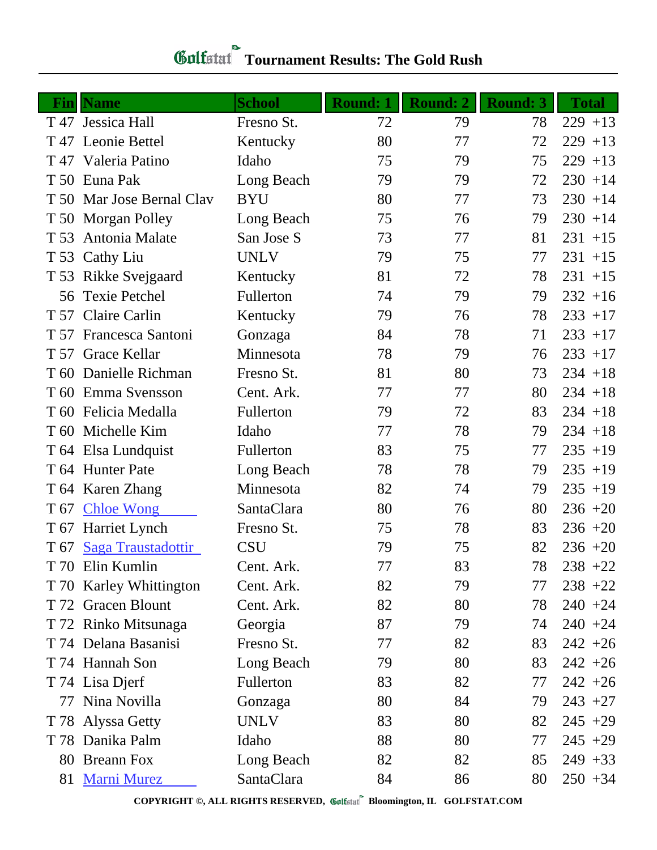| <u>Fin</u> | <b>Name</b>               | <b>School</b> | <b>Round: 1</b> | Round: 2 | <b>Round: 3</b> | <b>Total</b> |
|------------|---------------------------|---------------|-----------------|----------|-----------------|--------------|
|            | T 47 Jessica Hall         | Fresno St.    | 72              | 79       | 78              | $229 + 13$   |
|            | T 47 Leonie Bettel        | Kentucky      | 80              | 77       | 72              | $229 + 13$   |
|            | T 47 Valeria Patino       | Idaho         | 75              | 79       | 75              | $229 + 13$   |
|            | T 50 Euna Pak             | Long Beach    | 79              | 79       | 72              | $230 + 14$   |
|            | T 50 Mar Jose Bernal Clav | <b>BYU</b>    | 80              | 77       | 73              | $230 + 14$   |
|            | T 50 Morgan Polley        | Long Beach    | 75              | 76       | 79              | $230 + 14$   |
| T 53       | Antonia Malate            | San Jose S    | 73              | 77       | 81              | $231 + 15$   |
|            | T 53 Cathy Liu            | <b>UNLV</b>   | 79              | 75       | 77              | $231 + 15$   |
|            | T 53 Rikke Svejgaard      | Kentucky      | 81              | 72       | 78              | $231 + 15$   |
|            | 56 Texie Petchel          | Fullerton     | 74              | 79       | 79              | $232 + 16$   |
|            | T 57 Claire Carlin        | Kentucky      | 79              | 76       | 78              | $233 + 17$   |
|            | T 57 Francesca Santoni    | Gonzaga       | 84              | 78       | 71              | $233 + 17$   |
|            | T 57 Grace Kellar         | Minnesota     | 78              | 79       | 76              | $233 + 17$   |
|            | T 60 Danielle Richman     | Fresno St.    | 81              | 80       | 73              | $234 + 18$   |
|            | T 60 Emma Svensson        | Cent. Ark.    | 77              | 77       | 80              | $234 + 18$   |
|            | T 60 Felicia Medalla      | Fullerton     | 79              | 72       | 83              | $234 + 18$   |
|            | T 60 Michelle Kim         | Idaho         | 77              | 78       | 79              | $234 + 18$   |
|            | T 64 Elsa Lundquist       | Fullerton     | 83              | 75       | 77              | $235 + 19$   |
|            | T 64 Hunter Pate          | Long Beach    | 78              | 78       | 79              | $235 + 19$   |
|            | T 64 Karen Zhang          | Minnesota     | 82              | 74       | 79              | $235 + 19$   |
| T 67       | <b>Chloe Wong</b>         | SantaClara    | 80              | 76       | 80              | $236 + 20$   |
|            | T 67 Harriet Lynch        | Fresno St.    | 75              | 78       | 83              | $236 + 20$   |
| T 67       | Saga Traustadottir        | <b>CSU</b>    | 79              | 75       | 82              | $236 + 20$   |
|            | T 70 Elin Kumlin          | Cent. Ark.    | 77              | 83       | 78              | $238 + 22$   |
|            | T 70 Karley Whittington   | Cent. Ark.    | 82              | 79       | 77              | $238 + 22$   |
|            | T 72 Gracen Blount        | Cent. Ark.    | 82              | 80       | 78              | $240 + 24$   |
|            | T 72 Rinko Mitsunaga      | Georgia       | 87              | 79       | 74              | $240 + 24$   |
|            | T 74 Delana Basanisi      | Fresno St.    | 77              | 82       | 83              | $242 + 26$   |
|            | T 74 Hannah Son           | Long Beach    | 79              | 80       | 83              | $242 + 26$   |
|            | T 74 Lisa Djerf           | Fullerton     | 83              | 82       | 77              | $242 + 26$   |
| 77         | Nina Novilla              | Gonzaga       | 80              | 84       | 79              | $243 + 27$   |
|            | T 78 Alyssa Getty         | <b>UNLV</b>   | 83              | 80       | 82              | $245 + 29$   |
|            | T 78 Danika Palm          | Idaho         | 88              | 80       | 77              | $245 + 29$   |
|            | 80 Breann Fox             | Long Beach    | 82              | 82       | 85              | $249 + 33$   |
|            | 81 Marni Murez            | SantaClara    | 84              | 86       | 80              | $250 + 34$   |

## *Golfstaf* Tournament Results: The Gold Rush